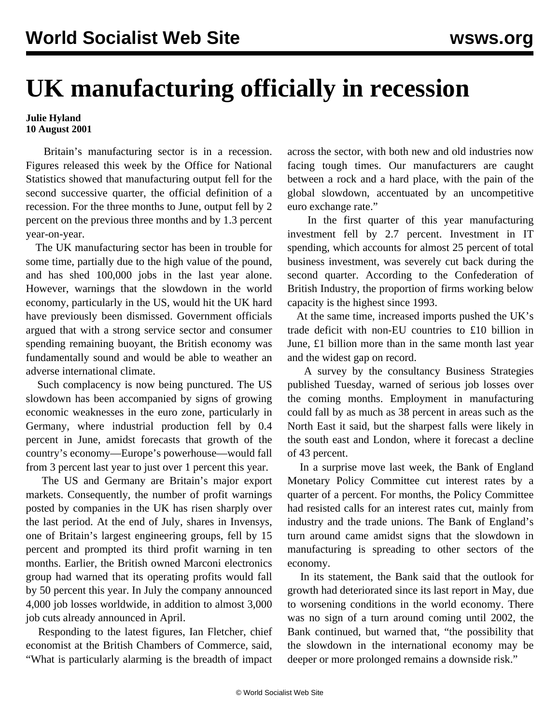## **UK manufacturing officially in recession**

## **Julie Hyland 10 August 2001**

 Britain's manufacturing sector is in a recession. Figures released this week by the Office for National Statistics showed that manufacturing output fell for the second successive quarter, the official definition of a recession. For the three months to June, output fell by 2 percent on the previous three months and by 1.3 percent year-on-year.

 The UK manufacturing sector has been in trouble for some time, partially due to the high value of the pound, and has shed 100,000 jobs in the last year alone. However, warnings that the slowdown in the world economy, particularly in the US, would hit the UK hard have previously been dismissed. Government officials argued that with a strong service sector and consumer spending remaining buoyant, the British economy was fundamentally sound and would be able to weather an adverse international climate.

 Such complacency is now being punctured. The US slowdown has been accompanied by signs of growing economic weaknesses in the euro zone, particularly in Germany, where industrial production fell by 0.4 percent in June, amidst forecasts that growth of the country's economy—Europe's powerhouse—would fall from 3 percent last year to just over 1 percent this year.

 The US and Germany are Britain's major export markets. Consequently, the number of profit warnings posted by companies in the UK has risen sharply over the last period. At the end of July, shares in Invensys, one of Britain's largest engineering groups, fell by 15 percent and prompted its third profit warning in ten months. Earlier, the British owned Marconi electronics group had warned that its operating profits would fall by 50 percent this year. In July the company announced 4,000 job losses worldwide, in addition to almost 3,000 job cuts already announced in April.

 Responding to the latest figures, Ian Fletcher, chief economist at the British Chambers of Commerce, said, "What is particularly alarming is the breadth of impact across the sector, with both new and old industries now facing tough times. Our manufacturers are caught between a rock and a hard place, with the pain of the global slowdown, accentuated by an uncompetitive euro exchange rate."

 In the first quarter of this year manufacturing investment fell by 2.7 percent. Investment in IT spending, which accounts for almost 25 percent of total business investment, was severely cut back during the second quarter. According to the Confederation of British Industry, the proportion of firms working below capacity is the highest since 1993.

 At the same time, increased imports pushed the UK's trade deficit with non-EU countries to £10 billion in June, £1 billion more than in the same month last year and the widest gap on record.

 A survey by the consultancy Business Strategies published Tuesday, warned of serious job losses over the coming months. Employment in manufacturing could fall by as much as 38 percent in areas such as the North East it said, but the sharpest falls were likely in the south east and London, where it forecast a decline of 43 percent.

 In a surprise move last week, the Bank of England Monetary Policy Committee cut interest rates by a quarter of a percent. For months, the Policy Committee had resisted calls for an interest rates cut, mainly from industry and the trade unions. The Bank of England's turn around came amidst signs that the slowdown in manufacturing is spreading to other sectors of the economy.

 In its statement, the Bank said that the outlook for growth had deteriorated since its last report in May, due to worsening conditions in the world economy. There was no sign of a turn around coming until 2002, the Bank continued, but warned that, "the possibility that the slowdown in the international economy may be deeper or more prolonged remains a downside risk."